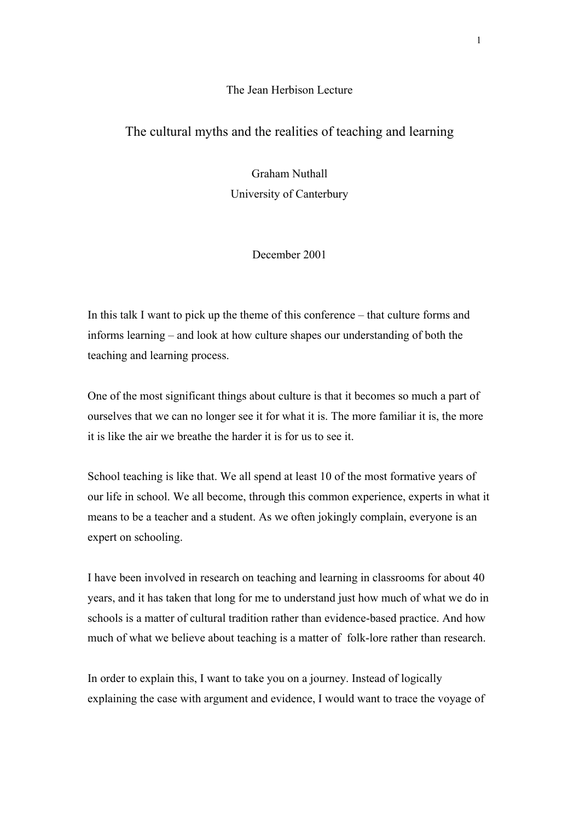## The Jean Herbison Lecture

## The cultural myths and the realities of teaching and learning

Graham Nuthall University of Canterbury

December 2001

In this talk I want to pick up the theme of this conference – that culture forms and informs learning – and look at how culture shapes our understanding of both the teaching and learning process.

One of the most significant things about culture is that it becomes so much a part of ourselves that we can no longer see it for what it is. The more familiar it is, the more it is like the air we breathe the harder it is for us to see it.

School teaching is like that. We all spend at least 10 of the most formative years of our life in school. We all become, through this common experience, experts in what it means to be a teacher and a student. As we often jokingly complain, everyone is an expert on schooling.

I have been involved in research on teaching and learning in classrooms for about 40 years, and it has taken that long for me to understand just how much of what we do in schools is a matter of cultural tradition rather than evidence-based practice. And how much of what we believe about teaching is a matter of folk-lore rather than research.

In order to explain this, I want to take you on a journey. Instead of logically explaining the case with argument and evidence, I would want to trace the voyage of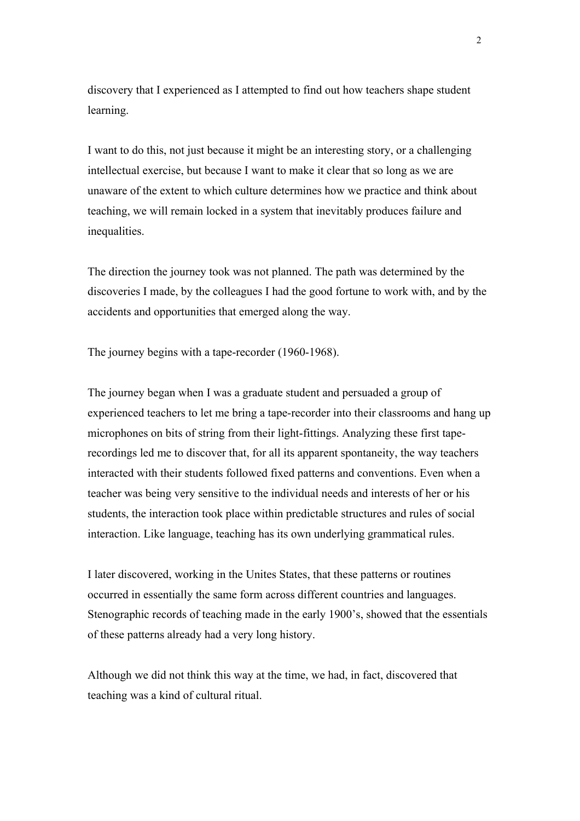discovery that I experienced as I attempted to find out how teachers shape student learning.

I want to do this, not just because it might be an interesting story, or a challenging intellectual exercise, but because I want to make it clear that so long as we are unaware of the extent to which culture determines how we practice and think about teaching, we will remain locked in a system that inevitably produces failure and inequalities.

The direction the journey took was not planned. The path was determined by the discoveries I made, by the colleagues I had the good fortune to work with, and by the accidents and opportunities that emerged along the way.

The journey begins with a tape-recorder (1960-1968).

The journey began when I was a graduate student and persuaded a group of experienced teachers to let me bring a tape-recorder into their classrooms and hang up microphones on bits of string from their light-fittings. Analyzing these first taperecordings led me to discover that, for all its apparent spontaneity, the way teachers interacted with their students followed fixed patterns and conventions. Even when a teacher was being very sensitive to the individual needs and interests of her or his students, the interaction took place within predictable structures and rules of social interaction. Like language, teaching has its own underlying grammatical rules.

I later discovered, working in the Unites States, that these patterns or routines occurred in essentially the same form across different countries and languages. Stenographic records of teaching made in the early 1900's, showed that the essentials of these patterns already had a very long history.

Although we did not think this way at the time, we had, in fact, discovered that teaching was a kind of cultural ritual.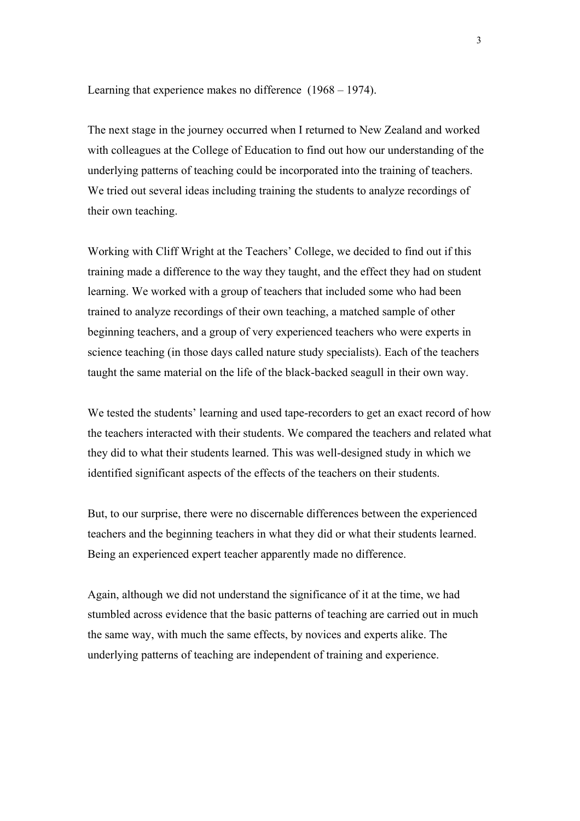Learning that experience makes no difference (1968 – 1974).

The next stage in the journey occurred when I returned to New Zealand and worked with colleagues at the College of Education to find out how our understanding of the underlying patterns of teaching could be incorporated into the training of teachers. We tried out several ideas including training the students to analyze recordings of their own teaching.

Working with Cliff Wright at the Teachers' College, we decided to find out if this training made a difference to the way they taught, and the effect they had on student learning. We worked with a group of teachers that included some who had been trained to analyze recordings of their own teaching, a matched sample of other beginning teachers, and a group of very experienced teachers who were experts in science teaching (in those days called nature study specialists). Each of the teachers taught the same material on the life of the black-backed seagull in their own way.

We tested the students' learning and used tape-recorders to get an exact record of how the teachers interacted with their students. We compared the teachers and related what they did to what their students learned. This was well-designed study in which we identified significant aspects of the effects of the teachers on their students.

But, to our surprise, there were no discernable differences between the experienced teachers and the beginning teachers in what they did or what their students learned. Being an experienced expert teacher apparently made no difference.

Again, although we did not understand the significance of it at the time, we had stumbled across evidence that the basic patterns of teaching are carried out in much the same way, with much the same effects, by novices and experts alike. The underlying patterns of teaching are independent of training and experience.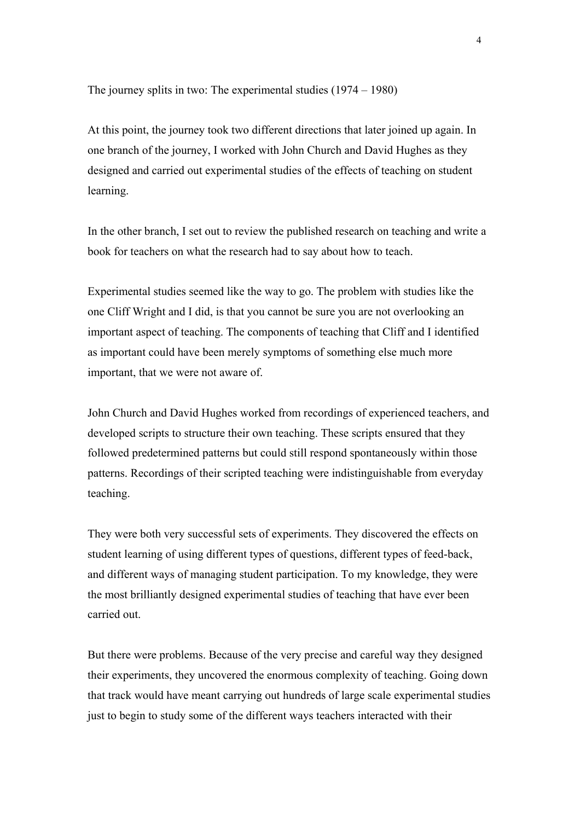The journey splits in two: The experimental studies (1974 – 1980)

At this point, the journey took two different directions that later joined up again. In one branch of the journey, I worked with John Church and David Hughes as they designed and carried out experimental studies of the effects of teaching on student learning.

In the other branch, I set out to review the published research on teaching and write a book for teachers on what the research had to say about how to teach.

Experimental studies seemed like the way to go. The problem with studies like the one Cliff Wright and I did, is that you cannot be sure you are not overlooking an important aspect of teaching. The components of teaching that Cliff and I identified as important could have been merely symptoms of something else much more important, that we were not aware of.

John Church and David Hughes worked from recordings of experienced teachers, and developed scripts to structure their own teaching. These scripts ensured that they followed predetermined patterns but could still respond spontaneously within those patterns. Recordings of their scripted teaching were indistinguishable from everyday teaching.

They were both very successful sets of experiments. They discovered the effects on student learning of using different types of questions, different types of feed-back, and different ways of managing student participation. To my knowledge, they were the most brilliantly designed experimental studies of teaching that have ever been carried out.

But there were problems. Because of the very precise and careful way they designed their experiments, they uncovered the enormous complexity of teaching. Going down that track would have meant carrying out hundreds of large scale experimental studies just to begin to study some of the different ways teachers interacted with their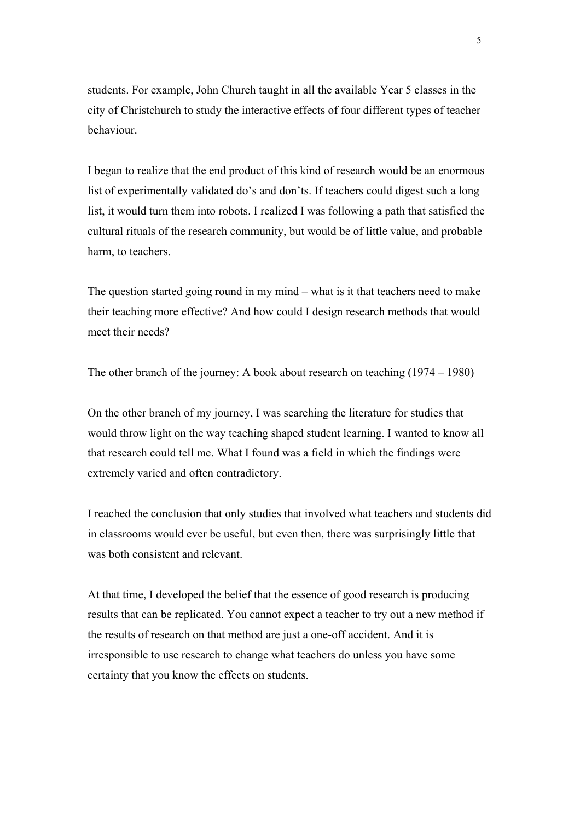students. For example, John Church taught in all the available Year 5 classes in the city of Christchurch to study the interactive effects of four different types of teacher behaviour.

I began to realize that the end product of this kind of research would be an enormous list of experimentally validated do's and don'ts. If teachers could digest such a long list, it would turn them into robots. I realized I was following a path that satisfied the cultural rituals of the research community, but would be of little value, and probable harm, to teachers.

The question started going round in my mind – what is it that teachers need to make their teaching more effective? And how could I design research methods that would meet their needs?

The other branch of the journey: A book about research on teaching (1974 – 1980)

On the other branch of my journey, I was searching the literature for studies that would throw light on the way teaching shaped student learning. I wanted to know all that research could tell me. What I found was a field in which the findings were extremely varied and often contradictory.

I reached the conclusion that only studies that involved what teachers and students did in classrooms would ever be useful, but even then, there was surprisingly little that was both consistent and relevant.

At that time, I developed the belief that the essence of good research is producing results that can be replicated. You cannot expect a teacher to try out a new method if the results of research on that method are just a one-off accident. And it is irresponsible to use research to change what teachers do unless you have some certainty that you know the effects on students.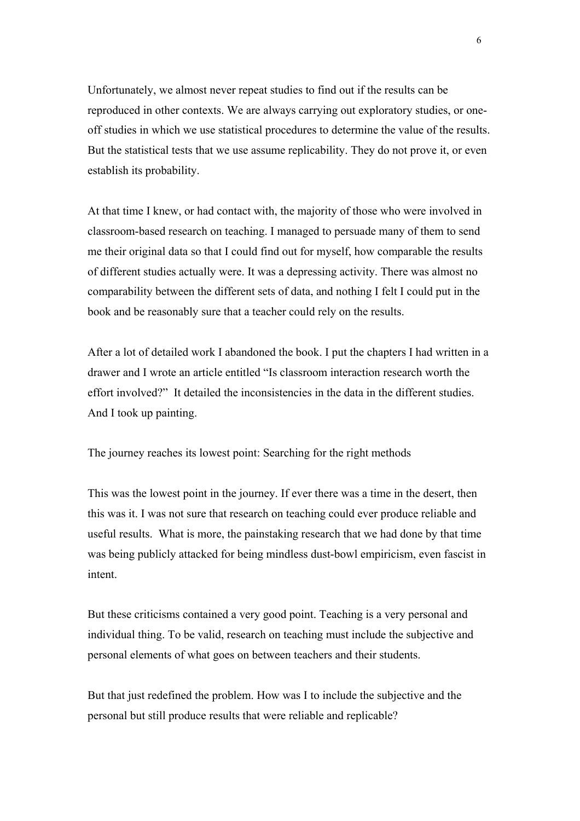Unfortunately, we almost never repeat studies to find out if the results can be reproduced in other contexts. We are always carrying out exploratory studies, or oneoff studies in which we use statistical procedures to determine the value of the results. But the statistical tests that we use assume replicability. They do not prove it, or even establish its probability.

At that time I knew, or had contact with, the majority of those who were involved in classroom-based research on teaching. I managed to persuade many of them to send me their original data so that I could find out for myself, how comparable the results of different studies actually were. It was a depressing activity. There was almost no comparability between the different sets of data, and nothing I felt I could put in the book and be reasonably sure that a teacher could rely on the results.

After a lot of detailed work I abandoned the book. I put the chapters I had written in a drawer and I wrote an article entitled "Is classroom interaction research worth the effort involved?" It detailed the inconsistencies in the data in the different studies. And I took up painting.

The journey reaches its lowest point: Searching for the right methods

This was the lowest point in the journey. If ever there was a time in the desert, then this was it. I was not sure that research on teaching could ever produce reliable and useful results. What is more, the painstaking research that we had done by that time was being publicly attacked for being mindless dust-bowl empiricism, even fascist in intent.

But these criticisms contained a very good point. Teaching is a very personal and individual thing. To be valid, research on teaching must include the subjective and personal elements of what goes on between teachers and their students.

But that just redefined the problem. How was I to include the subjective and the personal but still produce results that were reliable and replicable?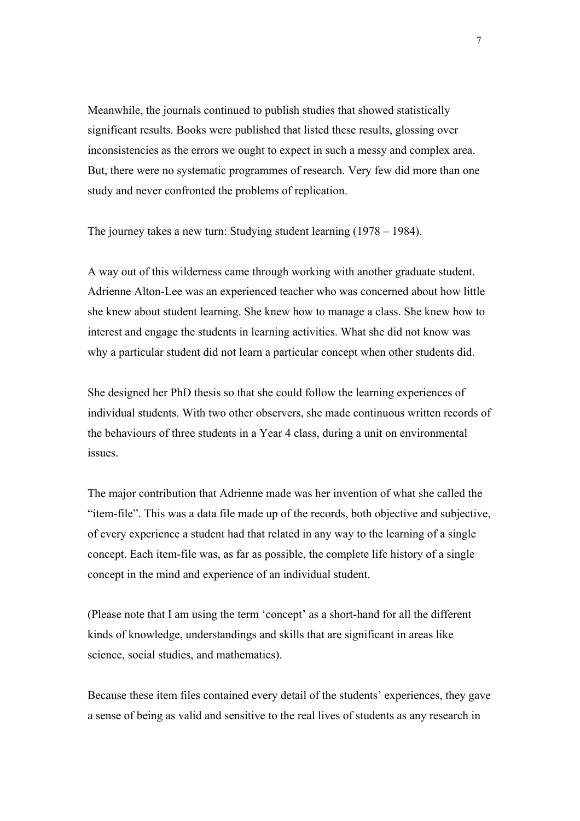Meanwhile, the journals continued to publish studies that showed statistically significant results. Books were published that listed these results, glossing over inconsistencies as the errors we ought to expect in such a messy and complex area. But, there were no systematic programmes of research. Very few did more than one study and never confronted the problems of replication.

The journey takes a new turn: Studying student learning (1978 – 1984).

A way out of this wilderness came through working with another graduate student. Adrienne Alton-Lee was an experienced teacher who was concerned about how little she knew about student learning. She knew how to manage a class. She knew how to interest and engage the students in learning activities. What she did not know was why a particular student did not learn a particular concept when other students did.

She designed her PhD thesis so that she could follow the learning experiences of individual students. With two other observers, she made continuous written records of the behaviours of three students in a Year 4 class, during a unit on environmental issues.

The major contribution that Adrienne made was her invention of what she called the "item-file". This was a data file made up of the records, both objective and subjective, of every experience a student had that related in any way to the learning of a single concept. Each item-file was, as far as possible, the complete life history of a single concept in the mind and experience of an individual student.

(Please note that I am using the term 'concept' as a short-hand for all the different kinds of knowledge, understandings and skills that are significant in areas like science, social studies, and mathematics).

Because these item files contained every detail of the students' experiences, they gave a sense of being as valid and sensitive to the real lives of students as any research in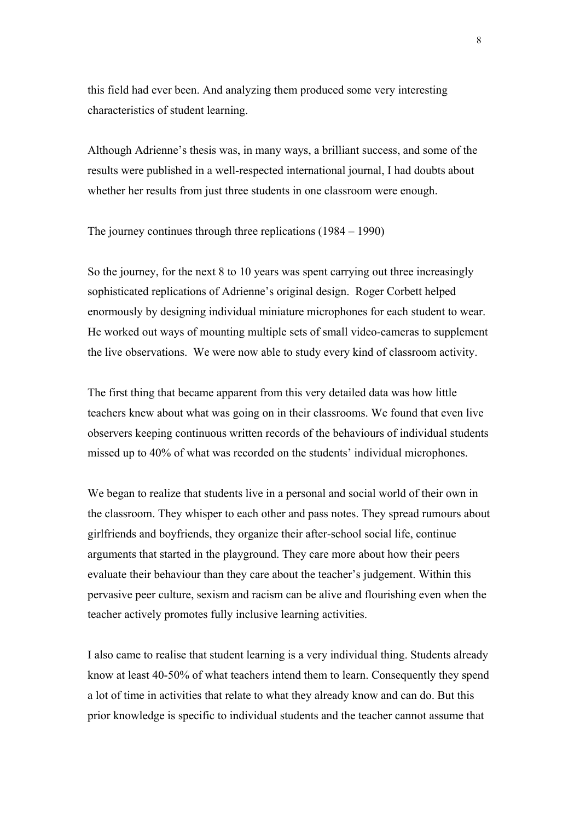this field had ever been. And analyzing them produced some very interesting characteristics of student learning.

Although Adrienne's thesis was, in many ways, a brilliant success, and some of the results were published in a well-respected international journal, I had doubts about whether her results from just three students in one classroom were enough.

The journey continues through three replications  $(1984 - 1990)$ 

So the journey, for the next 8 to 10 years was spent carrying out three increasingly sophisticated replications of Adrienne's original design. Roger Corbett helped enormously by designing individual miniature microphones for each student to wear. He worked out ways of mounting multiple sets of small video-cameras to supplement the live observations. We were now able to study every kind of classroom activity.

The first thing that became apparent from this very detailed data was how little teachers knew about what was going on in their classrooms. We found that even live observers keeping continuous written records of the behaviours of individual students missed up to 40% of what was recorded on the students' individual microphones.

We began to realize that students live in a personal and social world of their own in the classroom. They whisper to each other and pass notes. They spread rumours about girlfriends and boyfriends, they organize their after-school social life, continue arguments that started in the playground. They care more about how their peers evaluate their behaviour than they care about the teacher's judgement. Within this pervasive peer culture, sexism and racism can be alive and flourishing even when the teacher actively promotes fully inclusive learning activities.

I also came to realise that student learning is a very individual thing. Students already know at least 40-50% of what teachers intend them to learn. Consequently they spend a lot of time in activities that relate to what they already know and can do. But this prior knowledge is specific to individual students and the teacher cannot assume that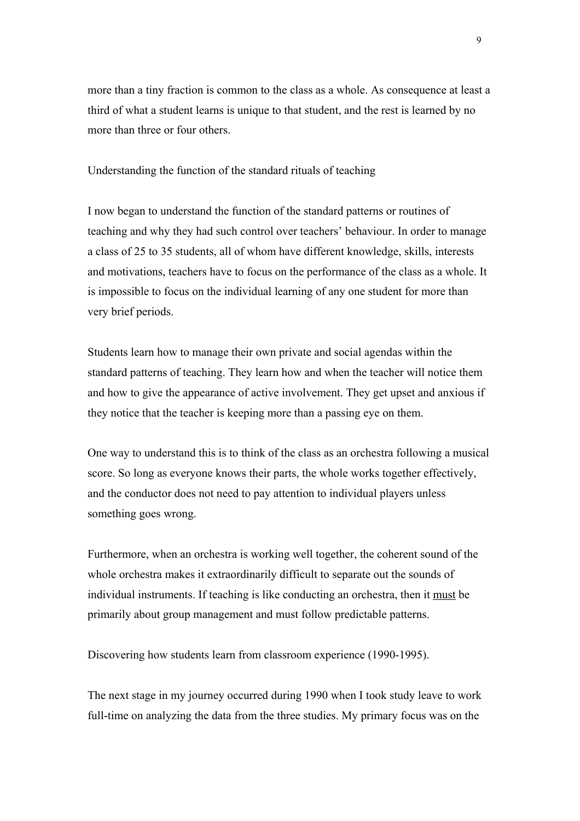more than a tiny fraction is common to the class as a whole. As consequence at least a third of what a student learns is unique to that student, and the rest is learned by no more than three or four others.

Understanding the function of the standard rituals of teaching

I now began to understand the function of the standard patterns or routines of teaching and why they had such control over teachers' behaviour. In order to manage a class of 25 to 35 students, all of whom have different knowledge, skills, interests and motivations, teachers have to focus on the performance of the class as a whole. It is impossible to focus on the individual learning of any one student for more than very brief periods.

Students learn how to manage their own private and social agendas within the standard patterns of teaching. They learn how and when the teacher will notice them and how to give the appearance of active involvement. They get upset and anxious if they notice that the teacher is keeping more than a passing eye on them.

One way to understand this is to think of the class as an orchestra following a musical score. So long as everyone knows their parts, the whole works together effectively, and the conductor does not need to pay attention to individual players unless something goes wrong.

Furthermore, when an orchestra is working well together, the coherent sound of the whole orchestra makes it extraordinarily difficult to separate out the sounds of individual instruments. If teaching is like conducting an orchestra, then it must be primarily about group management and must follow predictable patterns.

Discovering how students learn from classroom experience (1990-1995).

The next stage in my journey occurred during 1990 when I took study leave to work full-time on analyzing the data from the three studies. My primary focus was on the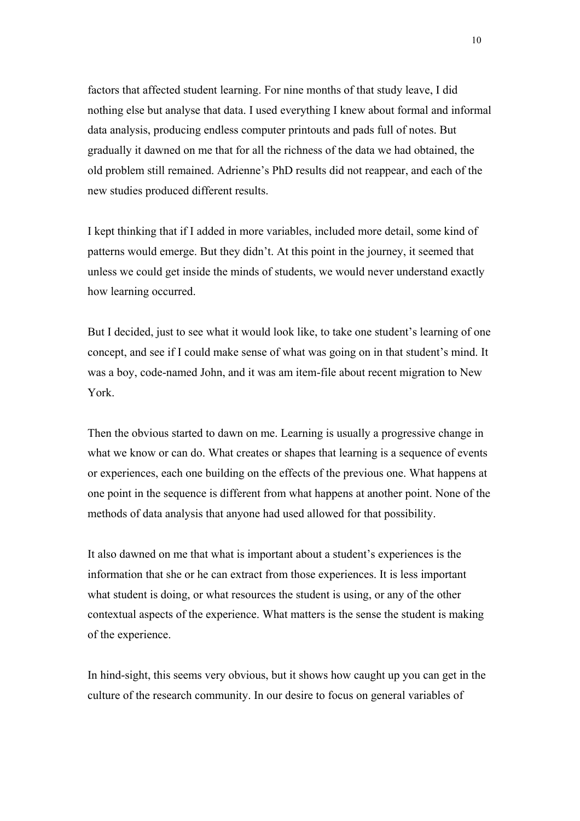factors that affected student learning. For nine months of that study leave, I did nothing else but analyse that data. I used everything I knew about formal and informal data analysis, producing endless computer printouts and pads full of notes. But gradually it dawned on me that for all the richness of the data we had obtained, the old problem still remained. Adrienne's PhD results did not reappear, and each of the new studies produced different results.

I kept thinking that if I added in more variables, included more detail, some kind of patterns would emerge. But they didn't. At this point in the journey, it seemed that unless we could get inside the minds of students, we would never understand exactly how learning occurred.

But I decided, just to see what it would look like, to take one student's learning of one concept, and see if I could make sense of what was going on in that student's mind. It was a boy, code-named John, and it was am item-file about recent migration to New York.

Then the obvious started to dawn on me. Learning is usually a progressive change in what we know or can do. What creates or shapes that learning is a sequence of events or experiences, each one building on the effects of the previous one. What happens at one point in the sequence is different from what happens at another point. None of the methods of data analysis that anyone had used allowed for that possibility.

It also dawned on me that what is important about a student's experiences is the information that she or he can extract from those experiences. It is less important what student is doing, or what resources the student is using, or any of the other contextual aspects of the experience. What matters is the sense the student is making of the experience.

In hind-sight, this seems very obvious, but it shows how caught up you can get in the culture of the research community. In our desire to focus on general variables of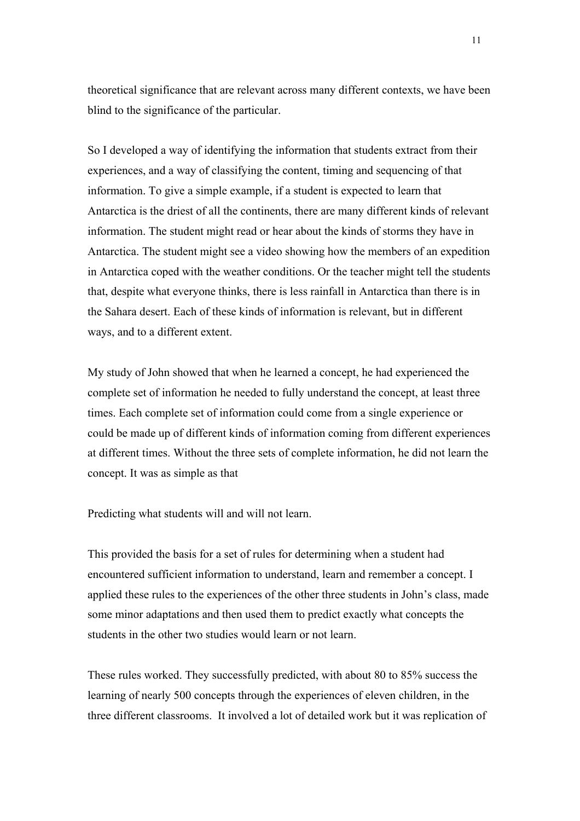theoretical significance that are relevant across many different contexts, we have been blind to the significance of the particular.

So I developed a way of identifying the information that students extract from their experiences, and a way of classifying the content, timing and sequencing of that information. To give a simple example, if a student is expected to learn that Antarctica is the driest of all the continents, there are many different kinds of relevant information. The student might read or hear about the kinds of storms they have in Antarctica. The student might see a video showing how the members of an expedition in Antarctica coped with the weather conditions. Or the teacher might tell the students that, despite what everyone thinks, there is less rainfall in Antarctica than there is in the Sahara desert. Each of these kinds of information is relevant, but in different ways, and to a different extent.

My study of John showed that when he learned a concept, he had experienced the complete set of information he needed to fully understand the concept, at least three times. Each complete set of information could come from a single experience or could be made up of different kinds of information coming from different experiences at different times. Without the three sets of complete information, he did not learn the concept. It was as simple as that

Predicting what students will and will not learn.

This provided the basis for a set of rules for determining when a student had encountered sufficient information to understand, learn and remember a concept. I applied these rules to the experiences of the other three students in John's class, made some minor adaptations and then used them to predict exactly what concepts the students in the other two studies would learn or not learn.

These rules worked. They successfully predicted, with about 80 to 85% success the learning of nearly 500 concepts through the experiences of eleven children, in the three different classrooms. It involved a lot of detailed work but it was replication of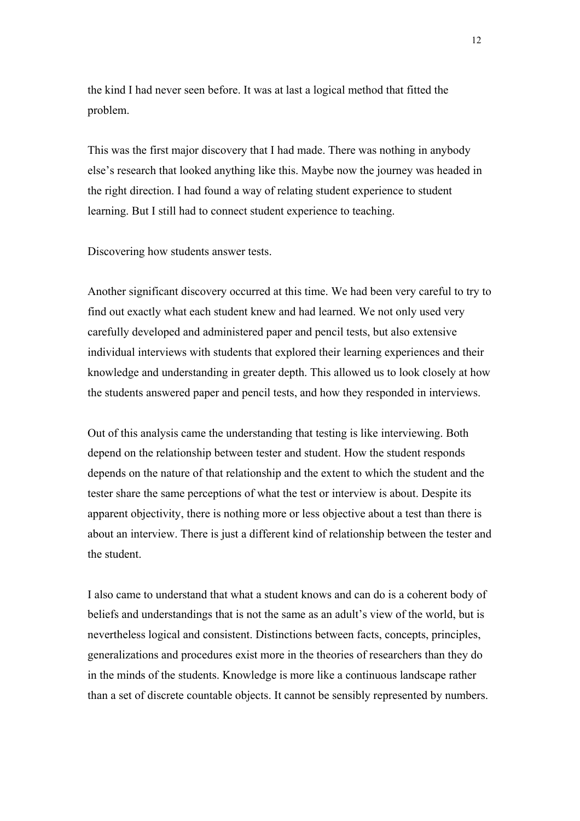the kind I had never seen before. It was at last a logical method that fitted the problem.

This was the first major discovery that I had made. There was nothing in anybody else's research that looked anything like this. Maybe now the journey was headed in the right direction. I had found a way of relating student experience to student learning. But I still had to connect student experience to teaching.

Discovering how students answer tests.

Another significant discovery occurred at this time. We had been very careful to try to find out exactly what each student knew and had learned. We not only used very carefully developed and administered paper and pencil tests, but also extensive individual interviews with students that explored their learning experiences and their knowledge and understanding in greater depth. This allowed us to look closely at how the students answered paper and pencil tests, and how they responded in interviews.

Out of this analysis came the understanding that testing is like interviewing. Both depend on the relationship between tester and student. How the student responds depends on the nature of that relationship and the extent to which the student and the tester share the same perceptions of what the test or interview is about. Despite its apparent objectivity, there is nothing more or less objective about a test than there is about an interview. There is just a different kind of relationship between the tester and the student.

I also came to understand that what a student knows and can do is a coherent body of beliefs and understandings that is not the same as an adult's view of the world, but is nevertheless logical and consistent. Distinctions between facts, concepts, principles, generalizations and procedures exist more in the theories of researchers than they do in the minds of the students. Knowledge is more like a continuous landscape rather than a set of discrete countable objects. It cannot be sensibly represented by numbers.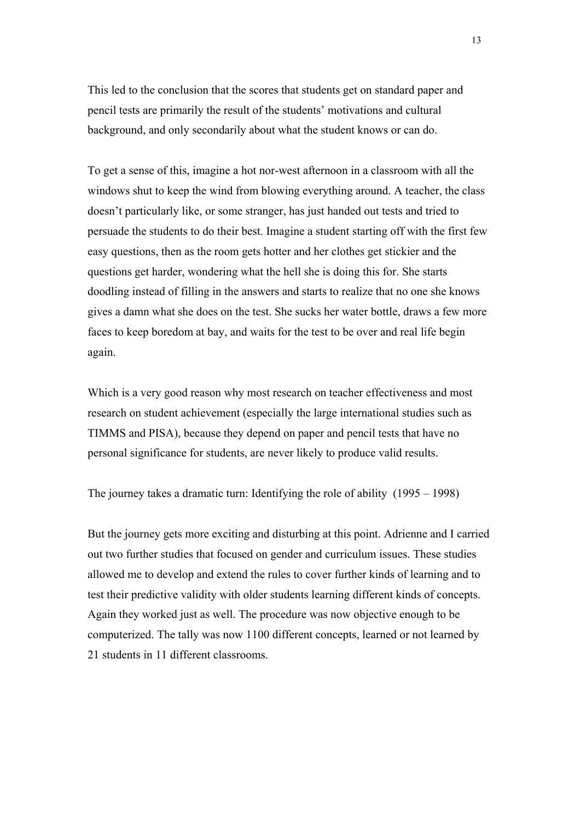This led to the conclusion that the scores that students get on standard paper and pencil tests are primarily the result of the students' motivations and cultural background, and only secondarily about what the student knows or can do.

To get a sense of this, imagine a hot nor-west afternoon in a classroom with all the windows shut to keep the wind from blowing everything around. A teacher, the class doesn't particularly like, or some stranger, has just handed out tests and tried to persuade the students to do their best. Imagine a student starting off with the first few easy questions, then as the room gets hotter and her clothes get stickier and the questions get harder, wondering what the hell she is doing this for. She starts doodling instead of filling in the answers and starts to realize that no one she knows gives a damn what she does on the test. She sucks her water bottle, draws a few more faces to keep boredom at bay, and waits for the test to be over and real life begin again.

Which is a very good reason why most research on teacher effectiveness and most research on student achievement (especially the large international studies such as TIMMS and PISA), because they depend on paper and pencil tests that have no personal significance for students, are never likely to produce valid results.

The journey takes a dramatic turn: Identifying the role of ability (1995 – 1998)

But the journey gets more exciting and disturbing at this point. Adrienne and I carried out two further studies that focused on gender and curriculum issues. These studies allowed me to develop and extend the rules to cover further kinds of learning and to test their predictive validity with older students learning different kinds of concepts. Again they worked just as well. The procedure was now objective enough to be computerized. The tally was now 1100 different concepts, learned or not learned by 21 students in 11 different classrooms.

13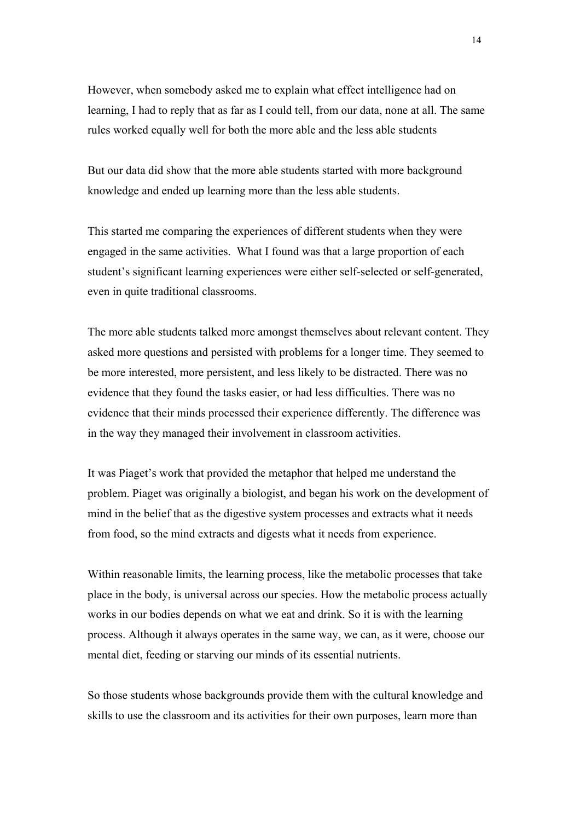However, when somebody asked me to explain what effect intelligence had on learning, I had to reply that as far as I could tell, from our data, none at all. The same rules worked equally well for both the more able and the less able students

But our data did show that the more able students started with more background knowledge and ended up learning more than the less able students.

This started me comparing the experiences of different students when they were engaged in the same activities. What I found was that a large proportion of each student's significant learning experiences were either self-selected or self-generated, even in quite traditional classrooms.

The more able students talked more amongst themselves about relevant content. They asked more questions and persisted with problems for a longer time. They seemed to be more interested, more persistent, and less likely to be distracted. There was no evidence that they found the tasks easier, or had less difficulties. There was no evidence that their minds processed their experience differently. The difference was in the way they managed their involvement in classroom activities.

It was Piaget's work that provided the metaphor that helped me understand the problem. Piaget was originally a biologist, and began his work on the development of mind in the belief that as the digestive system processes and extracts what it needs from food, so the mind extracts and digests what it needs from experience.

Within reasonable limits, the learning process, like the metabolic processes that take place in the body, is universal across our species. How the metabolic process actually works in our bodies depends on what we eat and drink. So it is with the learning process. Although it always operates in the same way, we can, as it were, choose our mental diet, feeding or starving our minds of its essential nutrients.

So those students whose backgrounds provide them with the cultural knowledge and skills to use the classroom and its activities for their own purposes, learn more than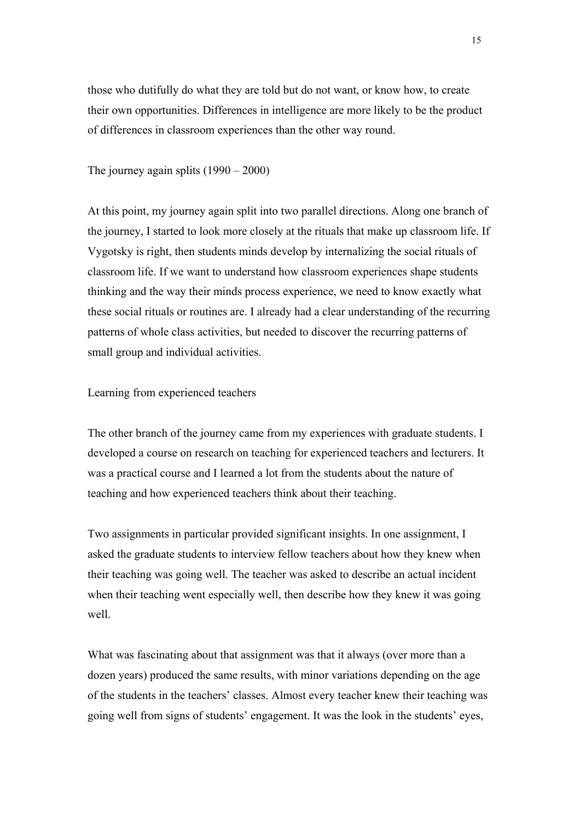those who dutifully do what they are told but do not want, or know how, to create their own opportunities. Differences in intelligence are more likely to be the product of differences in classroom experiences than the other way round.

The journey again splits  $(1990 - 2000)$ 

At this point, my journey again split into two parallel directions. Along one branch of the journey, I started to look more closely at the rituals that make up classroom life. If Vygotsky is right, then students minds develop by internalizing the social rituals of classroom life. If we want to understand how classroom experiences shape students thinking and the way their minds process experience, we need to know exactly what these social rituals or routines are. I already had a clear understanding of the recurring patterns of whole class activities, but needed to discover the recurring patterns of small group and individual activities.

Learning from experienced teachers

The other branch of the journey came from my experiences with graduate students. I developed a course on research on teaching for experienced teachers and lecturers. It was a practical course and I learned a lot from the students about the nature of teaching and how experienced teachers think about their teaching.

Two assignments in particular provided significant insights. In one assignment, I asked the graduate students to interview fellow teachers about how they knew when their teaching was going well. The teacher was asked to describe an actual incident when their teaching went especially well, then describe how they knew it was going well.

What was fascinating about that assignment was that it always (over more than a dozen years) produced the same results, with minor variations depending on the age of the students in the teachers' classes. Almost every teacher knew their teaching was going well from signs of students' engagement. It was the look in the students' eyes,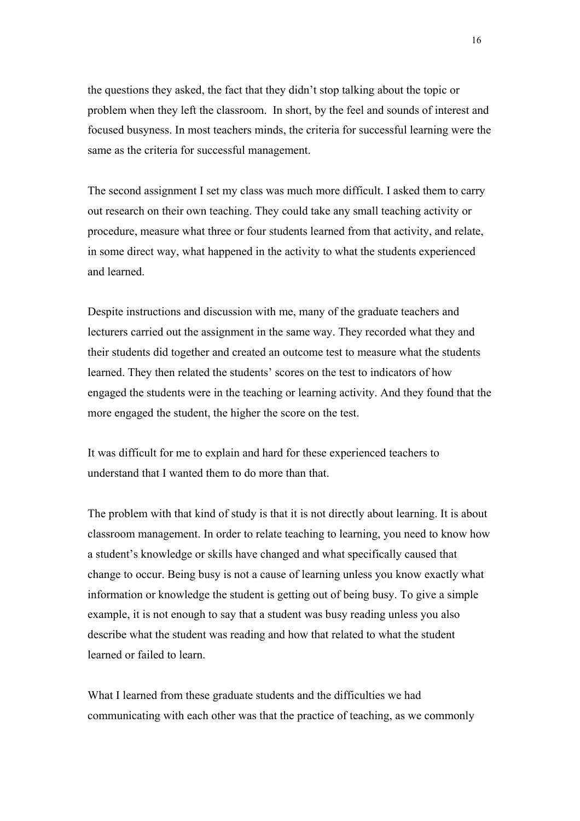the questions they asked, the fact that they didn't stop talking about the topic or problem when they left the classroom. In short, by the feel and sounds of interest and focused busyness. In most teachers minds, the criteria for successful learning were the same as the criteria for successful management.

The second assignment I set my class was much more difficult. I asked them to carry out research on their own teaching. They could take any small teaching activity or procedure, measure what three or four students learned from that activity, and relate, in some direct way, what happened in the activity to what the students experienced and learned.

Despite instructions and discussion with me, many of the graduate teachers and lecturers carried out the assignment in the same way. They recorded what they and their students did together and created an outcome test to measure what the students learned. They then related the students' scores on the test to indicators of how engaged the students were in the teaching or learning activity. And they found that the more engaged the student, the higher the score on the test.

It was difficult for me to explain and hard for these experienced teachers to understand that I wanted them to do more than that.

The problem with that kind of study is that it is not directly about learning. It is about classroom management. In order to relate teaching to learning, you need to know how a student's knowledge or skills have changed and what specifically caused that change to occur. Being busy is not a cause of learning unless you know exactly what information or knowledge the student is getting out of being busy. To give a simple example, it is not enough to say that a student was busy reading unless you also describe what the student was reading and how that related to what the student learned or failed to learn.

What I learned from these graduate students and the difficulties we had communicating with each other was that the practice of teaching, as we commonly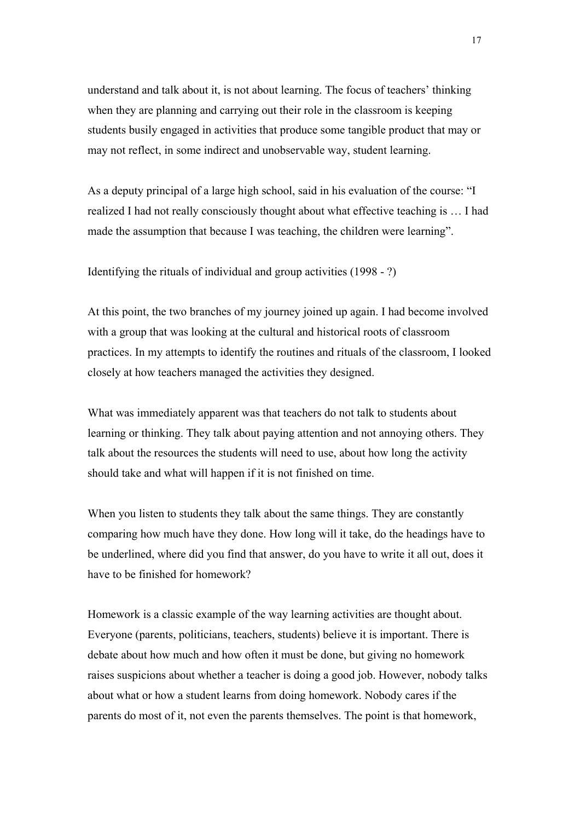understand and talk about it, is not about learning. The focus of teachers' thinking when they are planning and carrying out their role in the classroom is keeping students busily engaged in activities that produce some tangible product that may or may not reflect, in some indirect and unobservable way, student learning.

As a deputy principal of a large high school, said in his evaluation of the course: "I realized I had not really consciously thought about what effective teaching is … I had made the assumption that because I was teaching, the children were learning".

Identifying the rituals of individual and group activities (1998 - ?)

At this point, the two branches of my journey joined up again. I had become involved with a group that was looking at the cultural and historical roots of classroom practices. In my attempts to identify the routines and rituals of the classroom, I looked closely at how teachers managed the activities they designed.

What was immediately apparent was that teachers do not talk to students about learning or thinking. They talk about paying attention and not annoying others. They talk about the resources the students will need to use, about how long the activity should take and what will happen if it is not finished on time.

When you listen to students they talk about the same things. They are constantly comparing how much have they done. How long will it take, do the headings have to be underlined, where did you find that answer, do you have to write it all out, does it have to be finished for homework?

Homework is a classic example of the way learning activities are thought about. Everyone (parents, politicians, teachers, students) believe it is important. There is debate about how much and how often it must be done, but giving no homework raises suspicions about whether a teacher is doing a good job. However, nobody talks about what or how a student learns from doing homework. Nobody cares if the parents do most of it, not even the parents themselves. The point is that homework,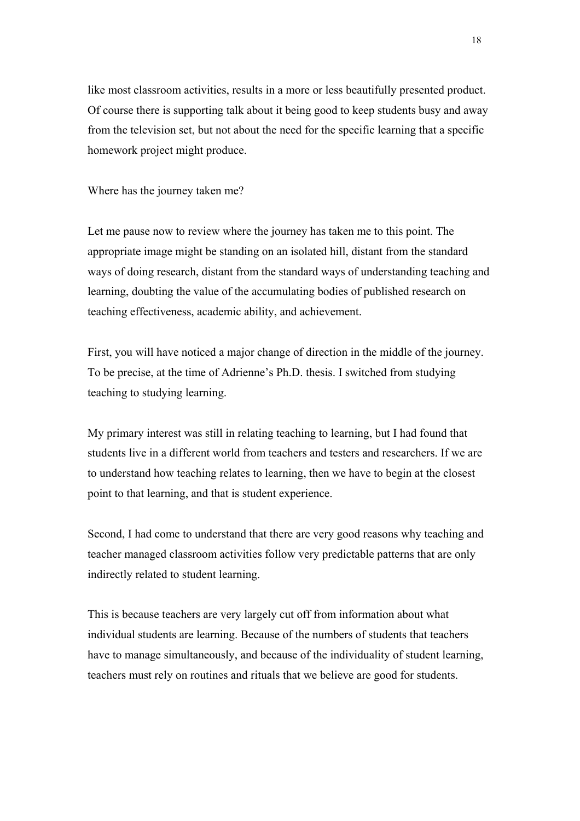like most classroom activities, results in a more or less beautifully presented product. Of course there is supporting talk about it being good to keep students busy and away from the television set, but not about the need for the specific learning that a specific homework project might produce.

Where has the journey taken me?

Let me pause now to review where the journey has taken me to this point. The appropriate image might be standing on an isolated hill, distant from the standard ways of doing research, distant from the standard ways of understanding teaching and learning, doubting the value of the accumulating bodies of published research on teaching effectiveness, academic ability, and achievement.

First, you will have noticed a major change of direction in the middle of the journey. To be precise, at the time of Adrienne's Ph.D. thesis. I switched from studying teaching to studying learning.

My primary interest was still in relating teaching to learning, but I had found that students live in a different world from teachers and testers and researchers. If we are to understand how teaching relates to learning, then we have to begin at the closest point to that learning, and that is student experience.

Second, I had come to understand that there are very good reasons why teaching and teacher managed classroom activities follow very predictable patterns that are only indirectly related to student learning.

This is because teachers are very largely cut off from information about what individual students are learning. Because of the numbers of students that teachers have to manage simultaneously, and because of the individuality of student learning, teachers must rely on routines and rituals that we believe are good for students.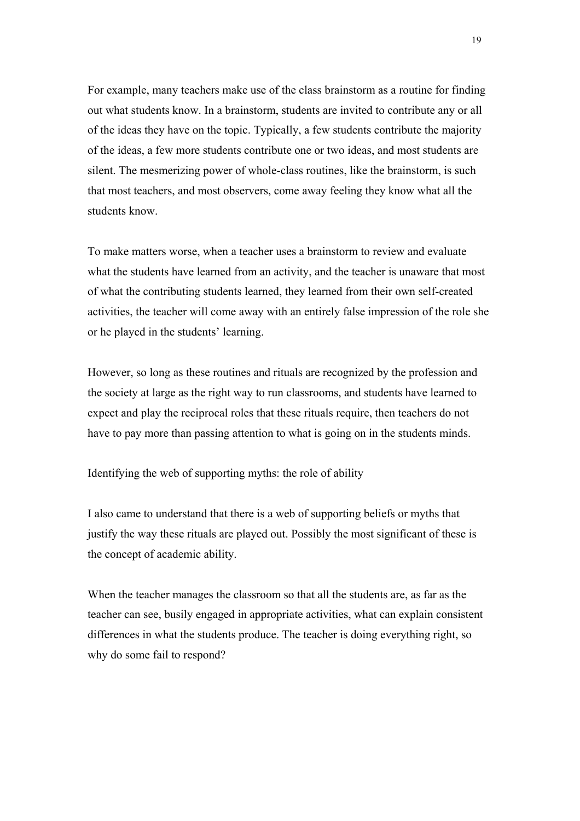For example, many teachers make use of the class brainstorm as a routine for finding out what students know. In a brainstorm, students are invited to contribute any or all of the ideas they have on the topic. Typically, a few students contribute the majority of the ideas, a few more students contribute one or two ideas, and most students are silent. The mesmerizing power of whole-class routines, like the brainstorm, is such that most teachers, and most observers, come away feeling they know what all the students know.

To make matters worse, when a teacher uses a brainstorm to review and evaluate what the students have learned from an activity, and the teacher is unaware that most of what the contributing students learned, they learned from their own self-created activities, the teacher will come away with an entirely false impression of the role she or he played in the students' learning.

However, so long as these routines and rituals are recognized by the profession and the society at large as the right way to run classrooms, and students have learned to expect and play the reciprocal roles that these rituals require, then teachers do not have to pay more than passing attention to what is going on in the students minds.

Identifying the web of supporting myths: the role of ability

I also came to understand that there is a web of supporting beliefs or myths that justify the way these rituals are played out. Possibly the most significant of these is the concept of academic ability.

When the teacher manages the classroom so that all the students are, as far as the teacher can see, busily engaged in appropriate activities, what can explain consistent differences in what the students produce. The teacher is doing everything right, so why do some fail to respond?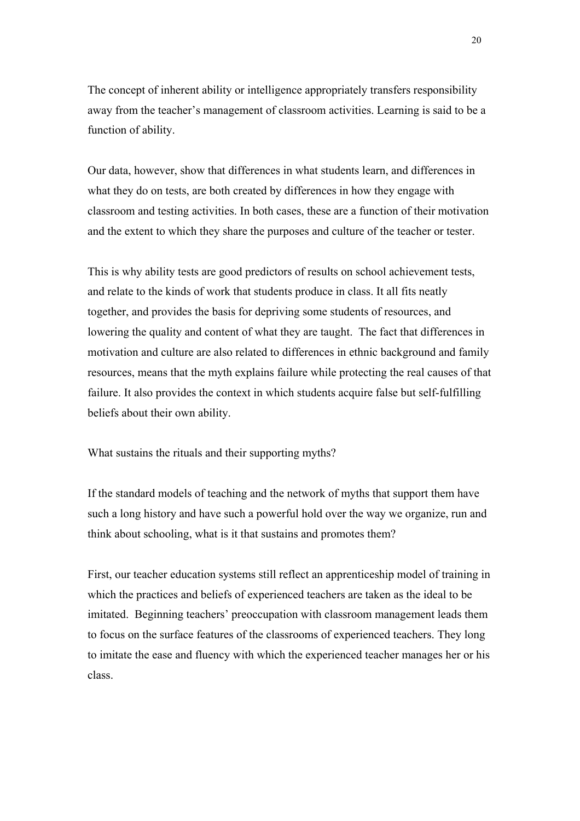The concept of inherent ability or intelligence appropriately transfers responsibility away from the teacher's management of classroom activities. Learning is said to be a function of ability.

Our data, however, show that differences in what students learn, and differences in what they do on tests, are both created by differences in how they engage with classroom and testing activities. In both cases, these are a function of their motivation and the extent to which they share the purposes and culture of the teacher or tester.

This is why ability tests are good predictors of results on school achievement tests, and relate to the kinds of work that students produce in class. It all fits neatly together, and provides the basis for depriving some students of resources, and lowering the quality and content of what they are taught. The fact that differences in motivation and culture are also related to differences in ethnic background and family resources, means that the myth explains failure while protecting the real causes of that failure. It also provides the context in which students acquire false but self-fulfilling beliefs about their own ability.

What sustains the rituals and their supporting myths?

If the standard models of teaching and the network of myths that support them have such a long history and have such a powerful hold over the way we organize, run and think about schooling, what is it that sustains and promotes them?

First, our teacher education systems still reflect an apprenticeship model of training in which the practices and beliefs of experienced teachers are taken as the ideal to be imitated. Beginning teachers' preoccupation with classroom management leads them to focus on the surface features of the classrooms of experienced teachers. They long to imitate the ease and fluency with which the experienced teacher manages her or his class.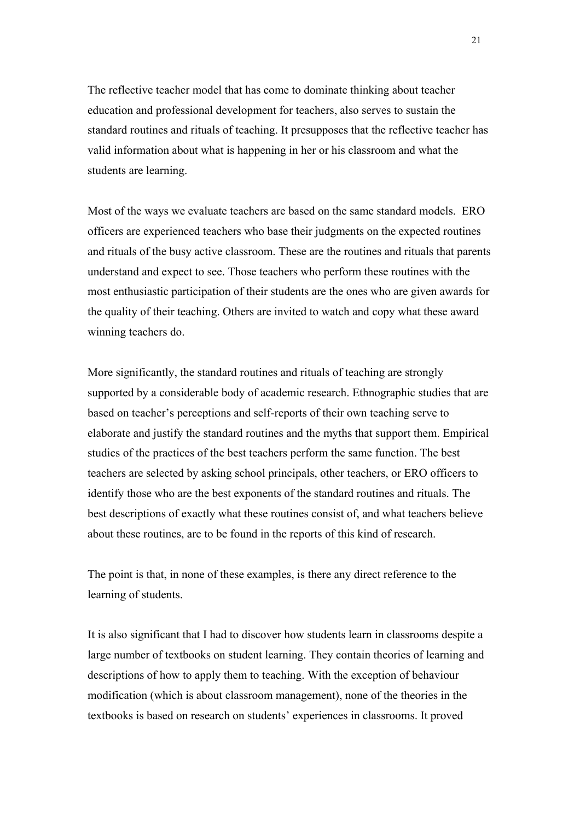The reflective teacher model that has come to dominate thinking about teacher education and professional development for teachers, also serves to sustain the standard routines and rituals of teaching. It presupposes that the reflective teacher has valid information about what is happening in her or his classroom and what the students are learning.

Most of the ways we evaluate teachers are based on the same standard models. ERO officers are experienced teachers who base their judgments on the expected routines and rituals of the busy active classroom. These are the routines and rituals that parents understand and expect to see. Those teachers who perform these routines with the most enthusiastic participation of their students are the ones who are given awards for the quality of their teaching. Others are invited to watch and copy what these award winning teachers do.

More significantly, the standard routines and rituals of teaching are strongly supported by a considerable body of academic research. Ethnographic studies that are based on teacher's perceptions and self-reports of their own teaching serve to elaborate and justify the standard routines and the myths that support them. Empirical studies of the practices of the best teachers perform the same function. The best teachers are selected by asking school principals, other teachers, or ERO officers to identify those who are the best exponents of the standard routines and rituals. The best descriptions of exactly what these routines consist of, and what teachers believe about these routines, are to be found in the reports of this kind of research.

The point is that, in none of these examples, is there any direct reference to the learning of students.

It is also significant that I had to discover how students learn in classrooms despite a large number of textbooks on student learning. They contain theories of learning and descriptions of how to apply them to teaching. With the exception of behaviour modification (which is about classroom management), none of the theories in the textbooks is based on research on students' experiences in classrooms. It proved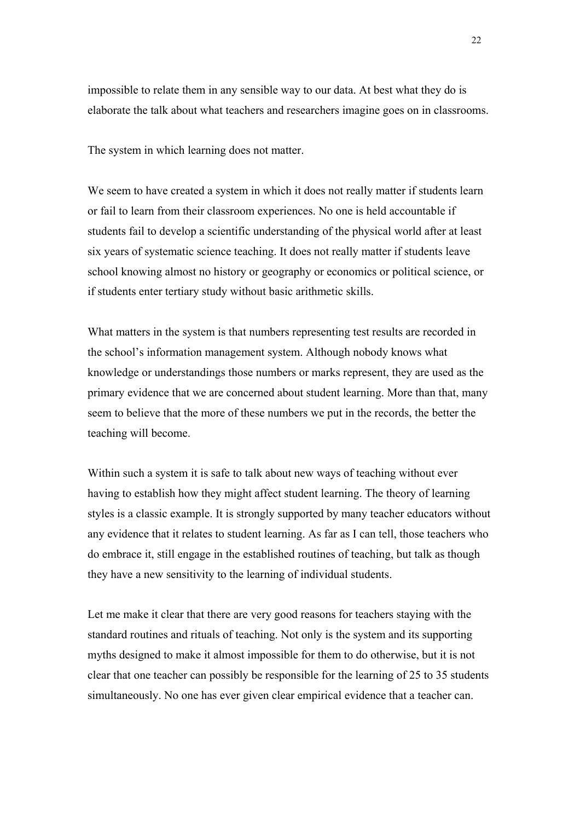impossible to relate them in any sensible way to our data. At best what they do is elaborate the talk about what teachers and researchers imagine goes on in classrooms.

The system in which learning does not matter.

We seem to have created a system in which it does not really matter if students learn or fail to learn from their classroom experiences. No one is held accountable if students fail to develop a scientific understanding of the physical world after at least six years of systematic science teaching. It does not really matter if students leave school knowing almost no history or geography or economics or political science, or if students enter tertiary study without basic arithmetic skills.

What matters in the system is that numbers representing test results are recorded in the school's information management system. Although nobody knows what knowledge or understandings those numbers or marks represent, they are used as the primary evidence that we are concerned about student learning. More than that, many seem to believe that the more of these numbers we put in the records, the better the teaching will become.

Within such a system it is safe to talk about new ways of teaching without ever having to establish how they might affect student learning. The theory of learning styles is a classic example. It is strongly supported by many teacher educators without any evidence that it relates to student learning. As far as I can tell, those teachers who do embrace it, still engage in the established routines of teaching, but talk as though they have a new sensitivity to the learning of individual students.

Let me make it clear that there are very good reasons for teachers staying with the standard routines and rituals of teaching. Not only is the system and its supporting myths designed to make it almost impossible for them to do otherwise, but it is not clear that one teacher can possibly be responsible for the learning of 25 to 35 students simultaneously. No one has ever given clear empirical evidence that a teacher can.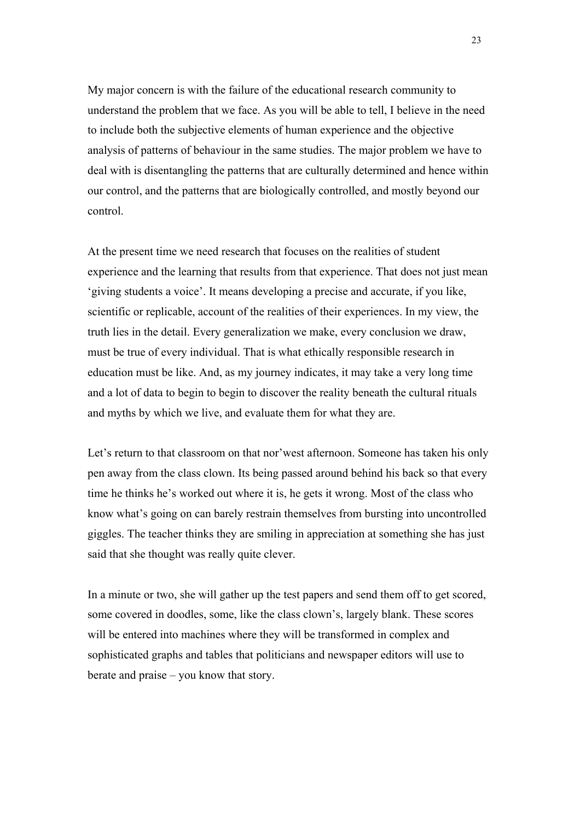My major concern is with the failure of the educational research community to understand the problem that we face. As you will be able to tell, I believe in the need to include both the subjective elements of human experience and the objective analysis of patterns of behaviour in the same studies. The major problem we have to deal with is disentangling the patterns that are culturally determined and hence within our control, and the patterns that are biologically controlled, and mostly beyond our control.

At the present time we need research that focuses on the realities of student experience and the learning that results from that experience. That does not just mean 'giving students a voice'. It means developing a precise and accurate, if you like, scientific or replicable, account of the realities of their experiences. In my view, the truth lies in the detail. Every generalization we make, every conclusion we draw, must be true of every individual. That is what ethically responsible research in education must be like. And, as my journey indicates, it may take a very long time and a lot of data to begin to begin to discover the reality beneath the cultural rituals and myths by which we live, and evaluate them for what they are.

Let's return to that classroom on that nor'west afternoon. Someone has taken his only pen away from the class clown. Its being passed around behind his back so that every time he thinks he's worked out where it is, he gets it wrong. Most of the class who know what's going on can barely restrain themselves from bursting into uncontrolled giggles. The teacher thinks they are smiling in appreciation at something she has just said that she thought was really quite clever.

In a minute or two, she will gather up the test papers and send them off to get scored, some covered in doodles, some, like the class clown's, largely blank. These scores will be entered into machines where they will be transformed in complex and sophisticated graphs and tables that politicians and newspaper editors will use to berate and praise – you know that story.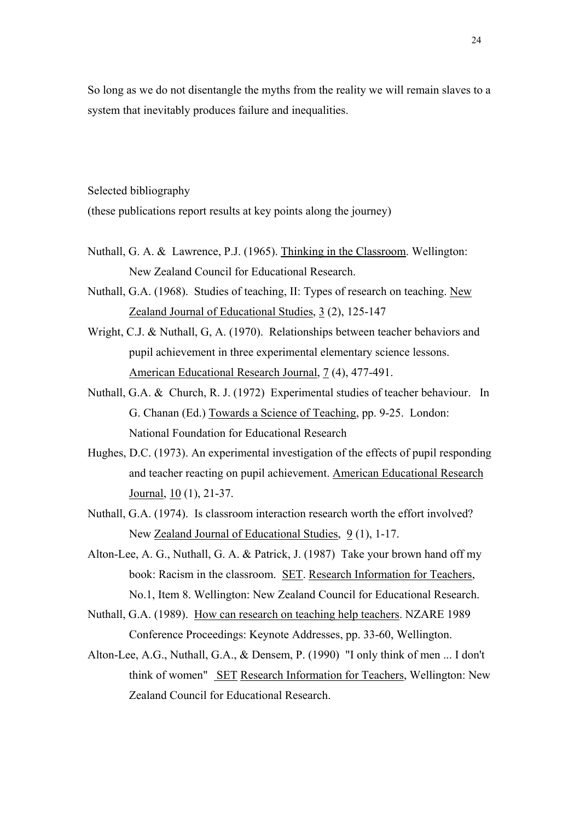So long as we do not disentangle the myths from the reality we will remain slaves to a system that inevitably produces failure and inequalities.

Selected bibliography

(these publications report results at key points along the journey)

- Nuthall, G. A. & Lawrence, P.J. (1965). Thinking in the Classroom. Wellington: New Zealand Council for Educational Research.
- Nuthall, G.A. (1968). Studies of teaching, II: Types of research on teaching. New Zealand Journal of Educational Studies, 3 (2), 125-147
- Wright, C.J. & Nuthall, G, A. (1970). Relationships between teacher behaviors and pupil achievement in three experimental elementary science lessons. American Educational Research Journal, 7 (4), 477-491.
- Nuthall, G.A. & Church, R. J. (1972) Experimental studies of teacher behaviour. In G. Chanan (Ed.) Towards a Science of Teaching, pp. 9-25. London: National Foundation for Educational Research
- Hughes, D.C. (1973). An experimental investigation of the effects of pupil responding and teacher reacting on pupil achievement. American Educational Research Journal, 10 (1), 21-37.
- Nuthall, G.A. (1974). Is classroom interaction research worth the effort involved? New Zealand Journal of Educational Studies, 9 (1), 1-17.
- Alton-Lee, A. G., Nuthall, G. A. & Patrick, J. (1987) Take your brown hand off my book: Racism in the classroom. SET. Research Information for Teachers, No.1, Item 8. Wellington: New Zealand Council for Educational Research.
- Nuthall, G.A. (1989). How can research on teaching help teachers. NZARE 1989 Conference Proceedings: Keynote Addresses, pp. 33-60, Wellington.
- Alton-Lee, A.G., Nuthall, G.A., & Densem, P. (1990) "I only think of men ... I don't think of women" SET Research Information for Teachers, Wellington: New Zealand Council for Educational Research.